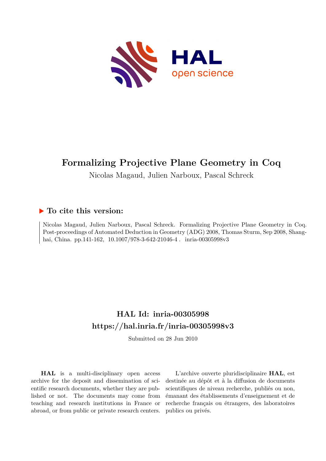

# **Formalizing Projective Plane Geometry in Coq**

Nicolas Magaud, Julien Narboux, Pascal Schreck

# **To cite this version:**

Nicolas Magaud, Julien Narboux, Pascal Schreck. Formalizing Projective Plane Geometry in Coq. Post-proceedings of Automated Deduction in Geometry (ADG) 2008, Thomas Sturm, Sep 2008, Shanghai, China. pp.141-162, 10.1007/978-3-642-21046-4. inria-00305998v3

# **HAL Id: inria-00305998 <https://hal.inria.fr/inria-00305998v3>**

Submitted on 28 Jun 2010

**HAL** is a multi-disciplinary open access archive for the deposit and dissemination of scientific research documents, whether they are published or not. The documents may come from teaching and research institutions in France or abroad, or from public or private research centers.

L'archive ouverte pluridisciplinaire **HAL**, est destinée au dépôt et à la diffusion de documents scientifiques de niveau recherche, publiés ou non, émanant des établissements d'enseignement et de recherche français ou étrangers, des laboratoires publics ou privés.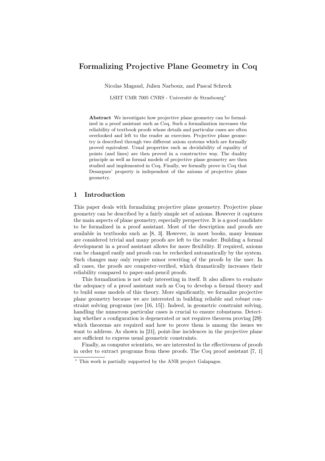# Formalizing Projective Plane Geometry in Coq

Nicolas Magaud, Julien Narboux, and Pascal Schreck

LSIIT UMR 7005 CNRS - Université de Strasbourg\*

Abstract We investigate how projective plane geometry can be formalized in a proof assistant such as Coq. Such a formalization increases the reliability of textbook proofs whose details and particular cases are often overlooked and left to the reader as exercises. Projective plane geometry is described through two different axiom systems which are formally proved equivalent. Usual properties such as decidability of equality of points (and lines) are then proved in a constructive way. The duality principle as well as formal models of projective plane geometry are then studied and implemented in Coq. Finally, we formally prove in Coq that Desargues' property is independent of the axioms of projective plane geometry.

# 1 Introduction

This paper deals with formalizing projective plane geometry. Projective plane geometry can be described by a fairly simple set of axioms. However it captures the main aspects of plane geometry, especially perspective. It is a good candidate to be formalized in a proof assistant. Most of the description and proofs are available in textbooks such as [8, 3]. However, in most books, many lemmas are considered trivial and many proofs are left to the reader. Building a formal development in a proof assistant allows for more flexibility. If required, axioms can be changed easily and proofs can be rechecked automatically by the system. Such changes may only require minor rewriting of the proofs by the user. In all cases, the proofs are computer-verified, which dramatically increases their reliability compared to paper-and-pencil proofs.

This formalization is not only interesting in itself. It also allows to evaluate the adequacy of a proof assistant such as Coq to develop a formal theory and to build some models of this theory. More significantly, we formalize projective plane geometry because we are interested in building reliable and robust constraint solving programs (see [16, 15]). Indeed, in geometric constraint solving, handling the numerous particular cases is crucial to ensure robustness. Detecting whether a configuration is degenerated or not requires theorem proving [29]: which theorems are required and how to prove them is among the issues we want to address. As shown in [21], point-line incidences in the projective plane are sufficient to express usual geometric constraints.

Finally, as computer scientists, we are interested in the effectiveness of proofs in order to extract programs from these proofs. The Coq proof assistant [7, 1]

<sup>⋆</sup> This work is partially supported by the ANR project Galapagos.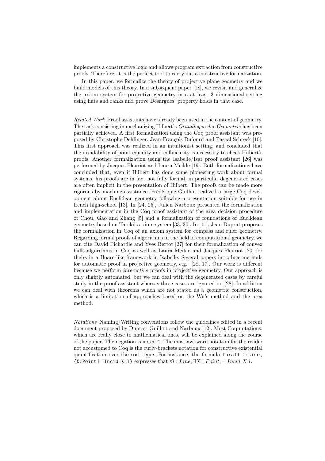implements a constructive logic and allows program extraction from constructive proofs. Therefore, it is the perfect tool to carry out a constructive formalization.

In this paper, we formalize the theory of projective plane geometry and we build models of this theory. In a subsequent paper [18], we revisit and generalize the axiom system for projective geometry in a at least 3 dimensional setting using flats and ranks and prove Desargues' property holds in that case.

Related Work Proof assistants have already been used in the context of geometry. The task consisting in mechanizing Hilbert's Grundlagen der Geometrie has been partially achieved. A first formalization using the Coq proof assistant was proposed by Christophe Dehlinger, Jean-François Dufourd and Pascal Schreck [10]. This first approach was realized in an intuitionist setting, and concluded that the decidability of point equality and collinearity is necessary to check Hilbert's proofs. Another formalization using the Isabelle/Isar proof assistant [26] was performed by Jacques Fleuriot and Laura Meikle [19]. Both formalizations have concluded that, even if Hilbert has done some pioneering work about formal systems, his proofs are in fact not fully formal, in particular degenerated cases are often implicit in the presentation of Hilbert. The proofs can be made more rigorous by machine assistance. Frédérique Guilhot realized a large Coq development about Euclidean geometry following a presentation suitable for use in french high-school [13]. In [24, 25], Julien Narboux presented the formalization and implementation in the Coq proof assistant of the area decision procedure of Chou, Gao and Zhang [5] and a formalization of foundations of Euclidean geometry based on Tarski's axiom system [33, 30]. In [11], Jean Duprat proposes the formalization in Coq of an axiom system for compass and ruler geometry. Regarding formal proofs of algorithms in the field of computational geometry, we can cite David Pichardie and Yves Bertot [27] for their formalization of convex hulls algorithms in Coq as well as Laura Meikle and Jacques Fleuriot [20] for theirs in a Hoare-like framework in Isabelle. Several papers introduce methods for automatic proof in projective geometry, e.g. [28, 17]. Our work is different because we perform interactive proofs in projective geometry. Our approach is only slightly automated, but we can deal with the degenerated cases by careful study in the proof assistant whereas these cases are ignored in [28]. In addition we can deal with theorems which are not stated as a geometric construction, which is a limitation of approaches based on the Wu's method and the area method.

Notations Naming/Writing conventions follow the guidelines edited in a recent document proposed by Duprat, Guilhot and Narboux [12]. Most Coq notations, which are really close to mathematical ones, will be explained along the course of the paper. The negation is noted ˜. The most awkward notation for the reader not accustomed to Coq is the curly-brackets notation for constructive existential quantification over the sort Type. For instance, the formula forall l:Line,  ${X:Point |$  ~Incid X 1} expresses that  $\forall l: Line, \exists X: Point, \neg Incid X l.$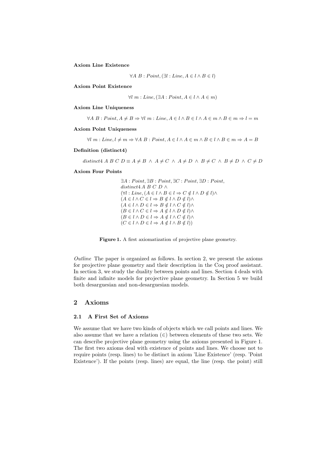Axiom Line Existence

$$
\forall A \ B : Point, (\exists l : Line, A \in l \land B \in l)
$$

Axiom Point Existence

$$
\forall l \ m: Line, (\exists A: Point, A \in l \land A \in m)
$$

#### Axiom Line Uniqueness

$$
\forall A \ B : Point, A \neq B \Rightarrow \forall l \ m : Line, A \in l \land B \in l \land A \in m \land B \in m \Rightarrow l = m
$$

#### Axiom Point Uniqueness

 $\forall l \ m : Line, l \neq m \Rightarrow \forall A \ B : Point, A \in l \land A \in m \land B \in l \land B \in m \Rightarrow A = B$ 

#### Definition (distinct4)

distinct4 A B C D  $\equiv A \neq B \land A \neq C \land A \neq D \land B \neq C \land B \neq D \land C \neq D$ 

#### Axiom Four Points

 $\exists A : Point, \exists B : Point, \exists C : Point, \exists D : Point,$  $distinct4\,A$ <br> $B$ <br> $C$ <br> $D$   $\wedge$  $(\forall l: Line, (A \in l \wedge B \in l \Rightarrow C \notin l \wedge D \notin l) \wedge$  $(A \in l \land C \in l \Rightarrow B \notin l \land D \notin l) \land$  $(A \in l \wedge D \in l \Rightarrow B \notin l \wedge C \notin l) \wedge$  $(B \in l \wedge C \in l \Rightarrow A \notin l \wedge D \notin l) \wedge$  $(B \in l \wedge D \in l \Rightarrow A \notin l \wedge C \notin l) \wedge$  $(C \in l \wedge D \in l \Rightarrow A \notin l \wedge B \notin l))$ 

Figure 1. A first axiomatization of projective plane geometry.

Outline The paper is organized as follows. In section 2, we present the axioms for projective plane geometry and their description in the Coq proof assistant. In section 3, we study the duality between points and lines. Section 4 deals with finite and infinite models for projective plane geometry. In Section 5 we build both desarguesian and non-desarguesian models.

# 2 Axioms

# 2.1 A First Set of Axioms

We assume that we have two kinds of objects which we call points and lines. We also assume that we have a relation  $(∈)$  between elements of these two sets. We can describe projective plane geometry using the axioms presented in Figure 1. The first two axioms deal with existence of points and lines. We choose not to require points (resp. lines) to be distinct in axiom 'Line Existence' (resp. 'Point Existence'). If the points (resp. lines) are equal, the line (resp. the point) still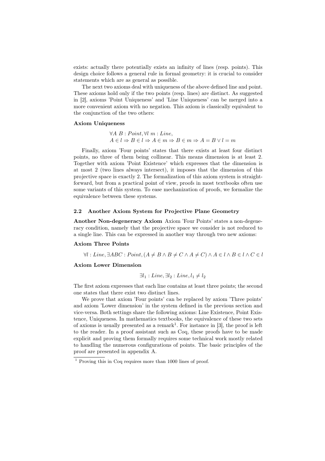exists: actually there potentially exists an infinity of lines (resp. points). This design choice follows a general rule in formal geometry: it is crucial to consider statements which are as general as possible.

The next two axioms deal with uniqueness of the above defined line and point. These axioms hold only if the two points (resp. lines) are distinct. As suggested in [2], axioms 'Point Uniqueness' and 'Line Uniqueness' can be merged into a more convenient axiom with no negation. This axiom is classically equivalent to the conjunction of the two others:

#### Axiom Uniqueness

 $\forall A \ B : Point, \forall l \ m : Line,$  $A \in l \Rightarrow B \in l \Rightarrow A \in m \Rightarrow B \in m \Rightarrow A = B \vee l = m$ 

Finally, axiom 'Four points' states that there exists at least four distinct points, no three of them being collinear. This means dimension is at least 2. Together with axiom 'Point Existence' which expresses that the dimension is at most 2 (two lines always intersect), it imposes that the dimension of this projective space is exactly 2. The formalization of this axiom system is straightforward, but from a practical point of view, proofs in most textbooks often use some variants of this system. To ease mechanization of proofs, we formalize the equivalence between these systems.

#### 2.2 Another Axiom System for Projective Plane Geometry

Another Non-degeneracy Axiom Axiom 'Four Points' states a non-degeneracy condition, namely that the projective space we consider is not reduced to a single line. This can be expressed in another way through two new axioms:

#### Axiom Three Points

 $\forall l : Line, \exists ABC : Point, (A \neq B \land B \neq C \land A \neq C) \land A \in l \land B \in l \land C \in l$ 

#### Axiom Lower Dimension

$$
\exists l_1: Line, \exists l_2: Line, l_1 \neq l_2
$$

The first axiom expresses that each line contains at least three points; the second one states that there exist two distinct lines.

We prove that axiom 'Four points' can be replaced by axiom 'Three points' and axiom 'Lower dimension' in the system defined in the previous section and vice-versa. Both settings share the following axioms: Line Existence, Point Existence, Uniqueness. In mathematics textbooks, the equivalence of these two sets of axioms is usually presented as a remark<sup>1</sup>. For instance in [3], the proof is left to the reader. In a proof assistant such as Coq, these proofs have to be made explicit and proving them formally requires some technical work mostly related to handling the numerous configurations of points. The basic principles of the proof are presented in appendix A.

<sup>1</sup> Proving this in Coq requires more than 1000 lines of proof.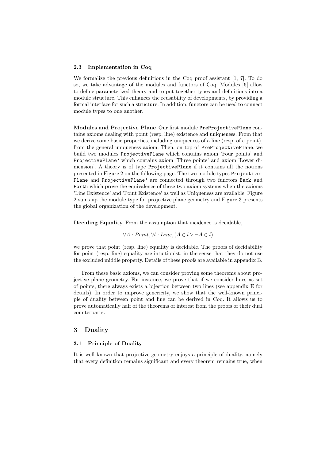#### 2.3 Implementation in Coq

We formalize the previous definitions in the Coq proof assistant [1, 7]. To do so, we take advantage of the modules and functors of Coq. Modules [6] allow to define parameterized theory and to put together types and definitions into a module structure. This enhances the reusability of developments, by providing a formal interface for such a structure. In addition, functors can be used to connect module types to one another.

Modules and Projective Plane Our first module PreProjectivePlane contains axioms dealing with point (resp. line) existence and uniqueness. From that we derive some basic properties, including uniqueness of a line (resp. of a point), from the general uniqueness axiom. Then, on top of PreProjectivePlane, we build two modules ProjectivePlane which contains axiom 'Four points' and ProjectivePlane' which contains axiom 'Three points' and axiom 'Lower dimension'. A theory is of type ProjectivePlane if it contains all the notions presented in Figure 2 on the following page. The two module types Projective-Plane and ProjectivePlane' are connected through two functors Back and Forth which prove the equivalence of these two axiom systems when the axioms 'Line Existence' and 'Point Existence' as well as Uniqueness are available. Figure 2 sums up the module type for projective plane geometry and Figure 3 presents the global organization of the development.

Deciding Equality From the assumption that incidence is decidable,

 $\forall A : Point, \forall l : Line, (A \in l \vee \neg A \in l)$ 

we prove that point (resp. line) equality is decidable. The proofs of decidability for point (resp. line) equality are intuitionist, in the sense that they do not use the excluded middle property. Details of these proofs are available in appendix B.

From these basic axioms, we can consider proving some theorems about projective plane geometry. For instance, we prove that if we consider lines as set of points, there always exists a bijection between two lines (see appendix E for details). In order to improve genericity, we show that the well-known principle of duality between point and line can be derived in Coq. It allows us to prove automatically half of the theorems of interest from the proofs of their dual counterparts.

#### 3 Duality

#### 3.1 Principle of Duality

It is well known that projective geometry enjoys a principle of duality, namely that every definition remains significant and every theorem remains true, when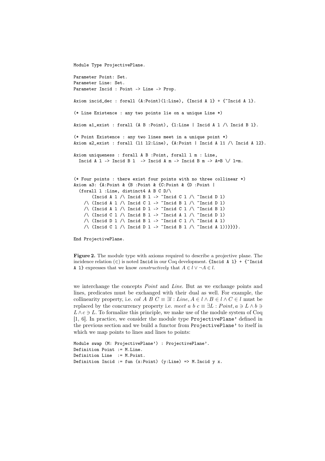```
Module Type ProjectivePlane.
Parameter Point: Set.
Parameter Line: Set.
Parameter Incid : Point -> Line -> Prop.
Axiom incid_dec : forall (A:Point)(1:Line), {Incid A 1} + {\tilde{t}Incid A 1}.
(* Line Existence : any two points lie on a unique Line *)
Axiom a1_exist : forall (A B : Point), {l:Line | Incid A 1 / \backslash Incid B 1}.
(* Point Existence : any two lines meet in a unique point *)
Axiom a2_exist : forall (11 l2:Line), \{A:Point \mid \text{Incid A 11 }/\langle \text{Incid A 12}\}.Axiom uniqueness : forall A B :Point, forall l m : Line,
  Incid A l -> Incid B l -> Incid A m -> Incid B m -> A=B \setminus l=m.
(* Four points : there exist four points with no three collinear *)
Axiom a3: {A:Point & {B :Point & {C:Point & {D :Point |
  (forall l :Line, distinct4 A B C D/\
        (Incid A 1 \land Incid B 1 -> ~Incid C 1 \land ~Incid D 1)
    /\ (Incid A l /\ Incid C l -> ~Incid B l /\ ~Incid D l)
    /\backslash (Incid A 1 /\backslash Incid D 1 -> ~Incid C 1 /\backslash ~Incid B 1)
    /\ (Incid C l /\ Incid B l -> ~Incid A l /\ ~Incid D l)
    \land (Incid D 1 \land Incid B 1 -> ~Incid C 1 \land ~Incid A 1)
    \land (Incid C l \land Incid D l -> ~Incid B l \land ~Incid A l))}}}}.
```
End ProjectivePlane.

Figure 2. The module type with axioms required to describe a projective plane. The incidence relation  $(\in)$  is noted Incid in our Coq development. {Incid A 1} + {~Incid A 1} expresses that we know *constructively* that  $A \in l \vee \neg A \in l$ .

we interchange the concepts *Point* and *Line*. But as we exchange points and lines, predicates must be exchanged with their dual as well. For example, the collinearity property, i.e. col A B  $C \equiv \exists l : Line, A \in l \land B \in l \land C \in l$  must be replaced by the concurrency property i.e. meet a b  $c \equiv \exists L : Point, a \ni L \land b \ni$  $L \wedge c \ni L$ . To formalize this principle, we make use of the module system of Coq [1, 6]. In practice, we consider the module type ProjectivePlane' defined in the previous section and we build a functor from ProjectivePlane' to itself in which we map points to lines and lines to points:

```
Module swap (M: ProjectivePlane') : ProjectivePlane'.
Definition Point := M.Line.
Definition Line := M.Point.
Definition Incid := fun (x:Point) (y:Line) => M.Incid y x.
```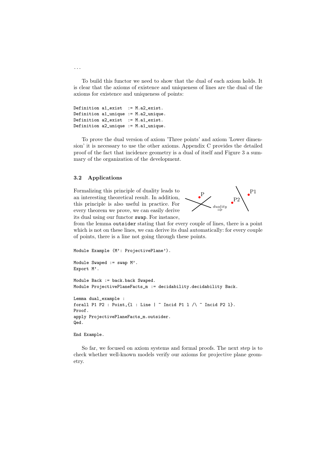To build this functor we need to show that the dual of each axiom holds. It is clear that the axioms of existence and uniqueness of lines are the dual of the axioms for existence and uniqueness of points:

Definition a1\_exist := M.a2\_exist. Definition a1 unique  $:=$  M.a2 unique. Definition a2\_exist := M.a1\_exist. Definition a2\_unique := M.a1\_unique.

To prove the dual version of axiom 'Three points' and axiom 'Lower dimension' it is necessary to use the other axioms. Appendix C provides the detailed proof of the fact that incidence geometry is a dual of itself and Figure 3 a summary of the organization of the development.

#### 3.2 Applications

Formalizing this principle of duality leads to an interesting theoretical result. In addition, this principle is also useful in practice. For every theorem we prove, we can easily derive its dual using our functor swap. For instance,



from the lemma outsider stating that for every couple of lines, there is a point which is not on these lines, we can derive its dual automatically: for every couple of points, there is a line not going through these points.

```
Module Example (M': ProjectivePlane').
Module Swaped := swap M'.
Export M'.
Module Back := back.back Swaped.
Module ProjectivePlaneFacts_m := decidability.decidability Back.
Lemma dual_example :
forall P1 P2 : Point, {1 : Line | \tilde{ } Incid P1 1 \wedge \tilde{ } Incid P2 1}.
Proof.
apply ProjectivePlaneFacts_m.outsider.
Qed.
```

```
End Example.
```
So far, we focused on axiom systems and formal proofs. The next step is to check whether well-known models verify our axioms for projective plane geometry.

...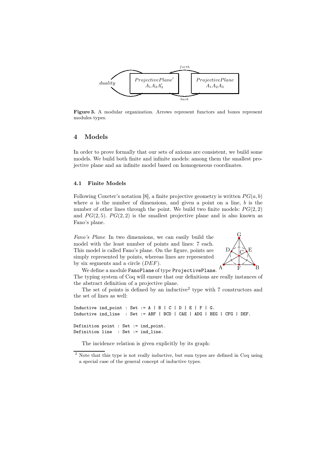

Figure 3. A modular organization. Arrows represent functors and boxes represent modules types.

# 4 Models

In order to prove formally that our sets of axioms are consistent, we build some models. We build both finite and infinite models: among them the smallest projective plane and an infinite model based on homogeneous coordinates.

## 4.1 Finite Models

Following Coxeter's notation [8], a finite projective geometry is written  $PG(a, b)$ where  $a$  is the number of dimensions, and given a point on a line,  $b$  is the number of other lines through the point. We build two finite models:  $PG(2, 2)$ and  $PG(2, 5)$ .  $PG(2, 2)$  is the smallest projective plane and is also known as Fano's plane.

Fano's Plane In two dimensions, we can easily build the model with the least number of points and lines: 7 each. This model is called Fano's plane. On the figure, points are simply represented by points, whereas lines are represented by six segments and a circle (DEF).



We define a module FanoPlane of type ProjectivePlane. The typing system of Coq will ensure that our definitions are really instances of the abstract definition of a projective plane.

The set of points is defined by an inductive<sup>2</sup> type with 7 constructors and the set of lines as well:

```
Inductive ind_point : Set := A | B | C | D | E | F | G.
Inductive ind_line : Set := ABF | BCD | CAE | ADG | BEG | CFG | DEF.
Definition point : Set := ind_point.
Definition line : Set := ind_line.
```
The incidence relation is given explicitly by its graph:

<sup>&</sup>lt;sup>2</sup> Note that this type is not really inductive, but sum types are defined in Coq using a special case of the general concept of inductive types.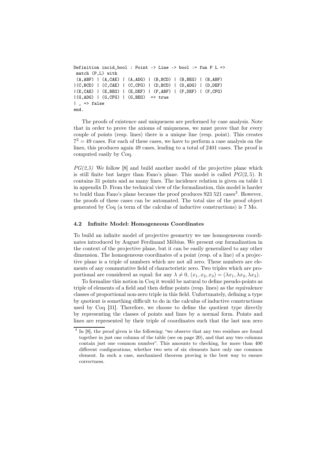```
Definition incid_bool : Point -> Line -> bool := fun P L =>
 match (P,L) with
 (A, ABF) | (A, CAE) | (A, ADG) | (B, BCD) | (B, BEG) | (B, ABF)|(C,BCD) | (C,CAE) | (C,CFG) | (D,BCD) | (D,ADG) | (D,DEF)
|(E,CAE) | (E,BEG) | (E,DEF) | (F,ABF) | (F,DEF) | (F,CFG)
|(G, ADG) | (G, CFG) | (G, BEG) => true
| \Rightarrow false
end.
```
The proofs of existence and uniqueness are performed by case analysis. Note that in order to prove the axioms of uniqueness, we must prove that for every couple of points (resp. lines) there is a unique line (resp. point). This creates  $7<sup>2</sup> = 49$  cases. For each of these cases, we have to perform a case analysis on the lines, this produces again 49 cases, leading to a total of 2401 cases. The proof is computed easily by Coq.

 $PG(2,5)$  We follow [8] and build another model of the projective plane which is still finite but larger than Fano's plane. This model is called  $PG(2, 5)$ . It contains 31 points and as many lines. The incidence relation is given on table 1 in appendix D. From the technical view of the formalization, this model is harder to build than Fano's plane because the proof produces 923 521 cases<sup>3</sup>. However, the proofs of these cases can be automated. The total size of the proof object generated by Coq (a term of the calculus of inductive constructions) is 7 Mo.

#### 4.2 Infinite Model: Homogeneous Coordinates

To build an infinite model of projective geometry we use homogeneous coordinates introduced by August Ferdinand Möbius. We present our formalization in the context of the projective plane, but it can be easily generalized to any other dimension. The homogeneous coordinates of a point (resp. of a line) of a projective plane is a triple of numbers which are not all zero. These numbers are elements of any commutative field of characteristic zero. Two triples which are proportional are considered as equal: for any  $\lambda \neq 0$ ,  $(x_1, x_2, x_3) = (\lambda x_1, \lambda x_2, \lambda x_3)$ .

To formalize this notion in Coq it would be natural to define pseudo-points as triple of elements of a field and then define points (resp. lines) as the equivalence classes of proportional non-zero triple in this field. Unfortunately, defining a type by quotient is something difficult to do in the calculus of inductive constructions used by Coq [31]. Therefore, we choose to define the quotient type directly by representing the classes of points and lines by a normal form. Points and lines are represented by their triple of coordinates such that the last non zero

<sup>&</sup>lt;sup>3</sup> In [8], the proof given is the following: "we observe that any two residues are found together in just one column of the table (see on page 20), and that any two columns contain just one common number". This amounts to checking, for more than 400 different configurations, whether two sets of six elements have only one common element. In such a case, mechanized theorem proving is the best way to ensure correctness.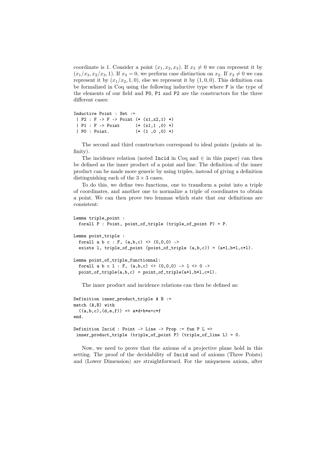coordinate is 1. Consider a point  $(x_1, x_2, x_3)$ . If  $x_3 \neq 0$  we can represent it by  $(x_1/x_3, x_2/x_3, 1)$ . If  $x_3 = 0$ , we perform case distinction on  $x_2$ . If  $x_2 \neq 0$  we can represent it by  $(x_1/x_2, 1, 0)$ , else we represent it by  $(1, 0, 0)$ . This definition can be formalized in Coq using the following inductive type where F is the type of the elements of our field and P0, P1 and P2 are the constructors for the three different cases:

```
Inductive Point : Set :=
| P2 : F -> F -> Point (* (x1, x2, 1) *)| P1 : F -> Point (* (x1,1 ,0) *)
| P0 : Point. (* (1 ,0 ,0) *)
```
The second and third constructors correspond to ideal points (points at infinity).

The incidence relation (noted Incid in Coq and  $\in$  in this paper) can then be defined as the inner product of a point and line. The definition of the inner product can be made more generic by using triples, instead of giving a definition distinguishing each of the  $3 \times 3$  cases.

To do this, we define two functions, one to transform a point into a triple of coordinates, and another one to normalize a triple of coordinates to obtain a point. We can then prove two lemmas which state that our definitions are consistent:

```
Lemma triple_point :
  forall P : Point, point_of_triple (triple_of_point P) = P.
Lemma point_triple :
  forall a b c : F, (a,b,c) \iff (0,0,0) ->
  exists l, triple_of_point (point_of_triple (a,b,c)) = (a*l,b*l,c*l).
Lemma point_of_triple_functionnal:
  forall a b c l : F, (a,b,c) \iff (0,0,0) \Rightarrow 1 \iff 0 \Rightarrowpoint_of_triple(a,b,c) = point_of_triple(a*1,b*1,c*1).
```
The inner product and incidence relations can then be defined as:

```
Definition inner_product_triple A B :=
match (A,B) with
  ((a,b,c),(d,e,f)) \Rightarrow a*d+b*e+c*fend.
Definition Incid : Point \rightarrow Line \rightarrow Prop := fun P L =>
 inner_product_triple (triple_of_point P) (triple_of_line L) = 0.
```
Now, we need to prove that the axioms of a projective plane hold in this setting. The proof of the decidability of Incid and of axioms (Three Points) and (Lower Dimension) are straightforward. For the uniqueness axiom, after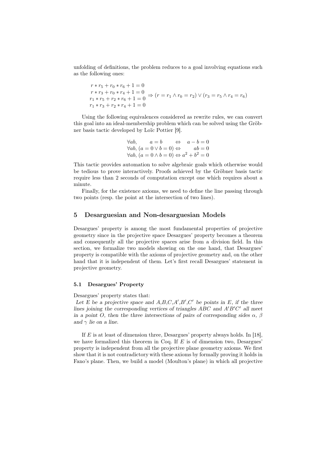unfolding of definitions, the problem reduces to a goal involving equations such as the following ones:

$$
r * r_5 + r_0 * r_6 + 1 = 0
$$
  
\n
$$
r * r_3 + r_0 * r_4 + 1 = 0
$$
  
\n
$$
r_1 * r_5 + r_2 * r_6 + 1 = 0 \Rightarrow (r = r_1 \land r_0 = r_2) \lor (r_3 = r_5 \land r_4 = r_6)
$$
  
\n
$$
r_1 * r_3 + r_2 * r_4 + 1 = 0
$$

Using the following equivalences considered as rewrite rules, we can convert this goal into an ideal-membership problem which can be solved using the Gröbner basis tactic developed by Loïc Pottier [9].

> $\forall ab, \quad a = b \quad \Leftrightarrow \quad a - b = 0$ <br>  $\forall ab, (a = 0 \lor b = 0) \Leftrightarrow \quad ab = 0$  $\forall ab, (a = 0 \lor b = 0) \Leftrightarrow$  $\forall ab, (a = 0 \land b = 0) \Leftrightarrow a^2 + b^2 = 0$

This tactic provides automation to solve algebraic goals which otherwise would be tedious to prove interactively. Proofs achieved by the Gröbner basis tactic require less than 2 seconds of computation except one which requires about a minute.

Finally, for the existence axioms, we need to define the line passing through two points (resp. the point at the intersection of two lines).

## 5 Desarguesian and Non-desarguesian Models

Desargues' property is among the most fundamental properties of projective geometry since in the projective space Desargues' property becomes a theorem and consequently all the projective spaces arise from a division field. In this section, we formalize two models showing on the one hand, that Desargues' property is compatible with the axioms of projective geometry and, on the other hand that it is independent of them. Let's first recall Desargues' statement in projective geometry.

# 5.1 Desargues' Property

Desargues' property states that:

Let E be a projective space and  $A,B,C,A',B',C'$  be points in E, if the three lines joining the corresponding vertices of triangles ABC and A'B'C' all meet in a point O, then the three intersections of pairs of corresponding sides  $\alpha$ ,  $\beta$ and  $\gamma$  lie on a line.

If  $E$  is at least of dimension three, Desargues' property always holds. In [18], we have formalized this theorem in Coq. If  $E$  is of dimension two, Desargues' property is independent from all the projective plane geometry axioms. We first show that it is not contradictory with these axioms by formally proving it holds in Fano's plane. Then, we build a model (Moulton's plane) in which all projective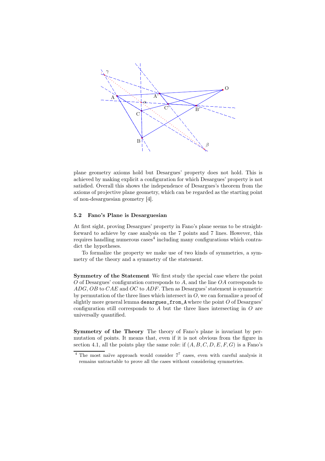

plane geometry axioms hold but Desargues' property does not hold. This is achieved by making explicit a configuration for which Desargues' property is not satisfied. Overall this shows the independence of Desargues's theorem from the axioms of projective plane geometry, which can be regarded as the starting point of non-desarguesian geometry [4].

#### 5.2 Fano's Plane is Desarguesian

At first sight, proving Desargues' property in Fano's plane seems to be straightforward to achieve by case analysis on the 7 points and 7 lines. However, this requires handling numerous  $\csc^4$  including many configurations which contradict the hypotheses.

To formalize the property we make use of two kinds of symmetries, a symmetry of the theory and a symmetry of the statement.

Symmetry of the Statement We first study the special case where the point O of Desargues' configuration corresponds to A, and the line OA corresponds to ADG, OB to CAE and OC to ADF. Then as Desargues' statement is symmetric by permutation of the three lines which intersect in  $O$ , we can formalize a proof of slightly more general lemma desargues\_from\_A where the point  $O$  of Desargues' configuration still corresponds to  $A$  but the three lines intersecting in  $O$  are universally quantified.

Symmetry of the Theory The theory of Fano's plane is invariant by permutation of points. It means that, even if it is not obvious from the figure in section 4.1, all the points play the same role: if  $(A, B, C, D, E, F, G)$  is a Fano's

 $4$  The most naïve approach would consider  $7<sup>7</sup>$  cases, even with careful analysis it remains untractable to prove all the cases without considering symmetries.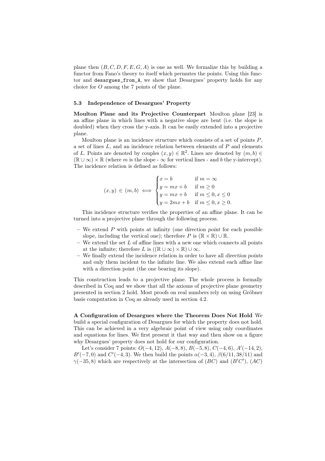plane then  $(B, C, D, F, E, G, A)$  is one as well. We formalize this by building a functor from Fano's theory to itself which permutes the points. Using this functor and desargues\_from\_A, we show that Desargues' property holds for any choice for O among the 7 points of the plane.

#### 5.3 Independence of Desargues' Property

Moulton Plane and its Projective Counterpart Moulton plane [23] is an affine plane in which lines with a negative slope are bent (i.e. the slope is doubled) when they cross the y-axis. It can be easily extended into a projective plane.

Moulton plane is an incidence structure which consists of a set of points P, a set of lines  $L$ , and an incidence relation between elements of  $P$  and elements of L. Points are denoted by couples  $(x, y) \in \mathbb{R}^2$ . Lines are denoted by  $(m, b) \in$  $(\mathbb{R} \cup \infty) \times \mathbb{R}$  (where m is the slope -  $\infty$  for vertical lines - and b the y-intercept). The incidence relation is defined as follows:

$$
(x, y) \in (m, b) \iff \begin{cases} x = b & \text{if } m = \infty \\ y = mx + b & \text{if } m \ge 0 \\ y = mx + b & \text{if } m \le 0, x \le 0 \\ y = 2mx + b & \text{if } m \le 0, x \ge 0. \end{cases}
$$

This incidence structure verifies the properties of an affine plane. It can be turned into a projective plane through the following process.

- We extend  $P$  with points at infinity (one direction point for each possible slope, including the vertical one); therefore P is  $(\mathbb{R} \times \mathbb{R}) \cup \mathbb{R}$ .
- $-$  We extend the set  $L$  of affine lines with a new one which connects all points at the infinite; therefore L is  $((\mathbb{R}\cup\infty)\times\mathbb{R})\cup\infty$ .
- We finally extend the incidence relation in order to have all direction points and only them incident to the infinite line. We also extend each affine line with a direction point (the one bearing its slope).

This construction leads to a projective plane. The whole process is formally described in Coq and we show that all the axioms of projective plane geometry presented in section 2 hold. Most proofs on real numbers rely on using Gröbner basis computation in Coq as already used in section 4.2.

A Configuration of Desargues where the Theorem Does Not Hold We build a special configuration of Desargues for which the property does not hold. This can be achieved in a very algebraic point of view using only coordinates and equations for lines. We first present it that way and then show on a figure why Desargues' property does not hold for our configuration.

Let's consider 7 points:  $O(-4, 12)$ ,  $A(-8, 8)$ ,  $B(-5, 8)$ ,  $C(-4, 6)$ ,  $A'(-14, 2)$ ,  $B'(-7,0)$  and  $C'(-4,3)$ . We then build the points  $\alpha(-3,4)$ ,  $\beta(6/11,38/11)$  and  $\gamma(-35,8)$  which are respectively at the intersection of  $(BC)$  and  $(B'C')$ ,  $(AC)$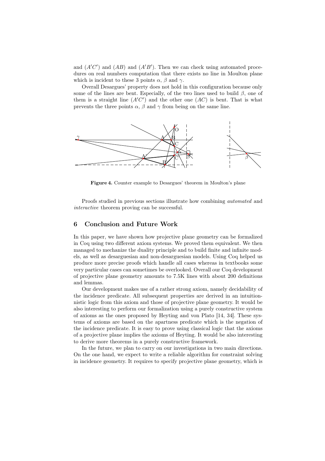and  $(A'C')$  and  $(AB)$  and  $(A'B')$ . Then we can check using automated procedures on real numbers computation that there exists no line in Moulton plane which is incident to these 3 points  $\alpha$ ,  $\beta$  and  $\gamma$ .

Overall Desargues' property does not hold in this configuration because only some of the lines are bent. Especially, of the two lines used to build  $\beta$ , one of them is a straight line  $(A'C')$  and the other one  $(AC)$  is bent. That is what prevents the three points  $\alpha$ ,  $\beta$  and  $\gamma$  from being on the same line.



Figure 4. Counter example to Desargues' theorem in Moulton's plane

Proofs studied in previous sections illustrate how combining automated and interactive theorem proving can be successful.

# 6 Conclusion and Future Work

In this paper, we have shown how projective plane geometry can be formalized in Coq using two different axiom systems. We proved them equivalent. We then managed to mechanize the duality principle and to build finite and infinite models, as well as desarguesian and non-desarguesian models. Using Coq helped us produce more precise proofs which handle all cases whereas in textbooks some very particular cases can sometimes be overlooked. Overall our Coq development of projective plane geometry amounts to 7.5K lines with about 200 definitions and lemmas.

Our development makes use of a rather strong axiom, namely decidability of the incidence predicate. All subsequent properties are derived in an intuitionnistic logic from this axiom and those of projective plane geometry. It would be also interesting to perform our formalization using a purely constructive system of axioms as the ones proposed by Heyting and von Plato [14, 34]. These systems of axioms are based on the apartness predicate which is the negation of the incidence predicate. It is easy to prove using classical logic that the axioms of a projective plane implies the axioms of Heyting. It would be also interesting to derive more theorems in a purely constructive framework.

In the future, we plan to carry on our investigations in two main directions. On the one hand, we expect to write a reliable algorithm for constraint solving in incidence geometry. It requires to specify projective plane geometry, which is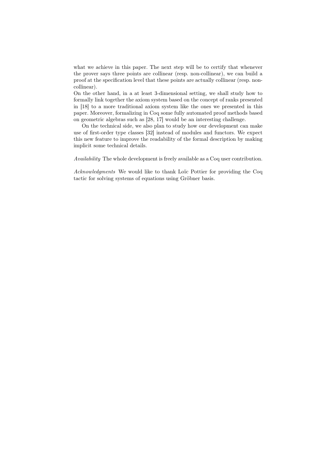what we achieve in this paper. The next step will be to certify that whenever the prover says three points are collinear (resp. non-collinear), we can build a proof at the specification level that these points are actually collinear (resp. noncollinear).

On the other hand, in a at least 3-dimensional setting, we shall study how to formally link together the axiom system based on the concept of ranks presented in [18] to a more traditional axiom system like the ones we presented in this paper. Moreover, formalizing in Coq some fully automated proof methods based on geometric algebras such as [28, 17] would be an interesting challenge.

On the technical side, we also plan to study how our development can make use of first-order type classes [32] instead of modules and functors. We expect this new feature to improve the readability of the formal description by making implicit some technical details.

Availability The whole development is freely available as a Coq user contribution.

Acknowledgments We would like to thank Loïc Pottier for providing the Coq tactic for solving systems of equations using Gröbner basis.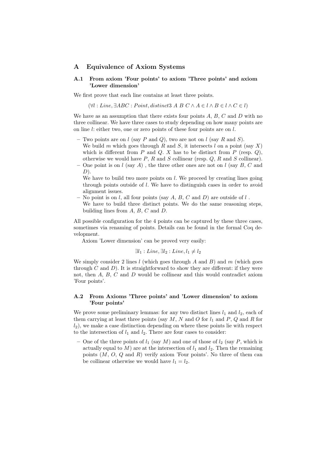## A Equivalence of Axiom Systems

## A.1 From axiom 'Four points' to axiom 'Three points' and axiom 'Lower dimension'

We first prove that each line contains at least three points.

 $(\forall l : Line, \exists ABC : Point, distinct3 \land B \ C \land A \in l \land B \in l \land C \in l)$ 

We have as an assumption that there exists four points  $A, B, C$  and  $D$  with no three collinear. We have three cases to study depending on how many points are on line l: either two, one or zero points of these four points are on l.

- Two points are on  $l$  (say P and Q), two are not on  $l$  (say R and S).
- We build m which goes through R and S, it intersects l on a point (say X) which is different from  $P$  and  $Q$ .  $X$  has to be distinct from  $P$  (resp.  $Q$ ), otherwise we would have  $P$ ,  $R$  and  $S$  collinear (resp.  $Q$ ,  $R$  and  $S$  collinear).
- One point is on  $l$  (say A), the three other ones are not on  $l$  (say B, C and D).

We have to build two more points on  $l$ . We proceed by creating lines going through points outside of l. We have to distinguish cases in order to avoid alignment issues.

No point is on  $l$ , all four points (say  $A, B, C$  and  $D$ ) are outside of  $l$ . We have to build three distinct points. We do the same reasoning steps, building lines from  $A, B, C$  and  $D$ .

All possible configuration for the 4 points can be captured by these three cases, sometimes via renaming of points. Details can be found in the formal Coq development.

Axiom 'Lower dimension' can be proved very easily:

$$
\exists l_1: Line, \exists l_2: Line, l_1 \neq l_2
$$

We simply consider 2 lines  $l$  (which goes through A and B) and  $m$  (which goes through C and D). It is straightforward to show they are different: if they were not, then A, B, C and D would be collinear and this would contradict axiom 'Four points'.

## A.2 From Axioms 'Three points' and 'Lower dimension' to axiom 'Four points'

We prove some preliminary lemmas: for any two distinct lines  $l_1$  and  $l_2$ , each of them carrying at least three points (say  $M$ ,  $N$  and  $O$  for  $l_1$  and  $P$ ,  $Q$  and  $R$  for  $l_2$ ), we make a case distinction depending on where these points lie with respect to the intersection of  $l_1$  and  $l_2$ . There are four cases to consider:

– One of the three points of  $l_1$  (say M) and one of those of  $l_2$  (say P, which is actually equal to  $M$ ) are at the intersection of  $l_1$  and  $l_2$ . Then the remaining points  $(M, O, Q$  and R) verify axiom 'Four points'. No three of them can be collinear otherwise we would have  $l_1 = l_2$ .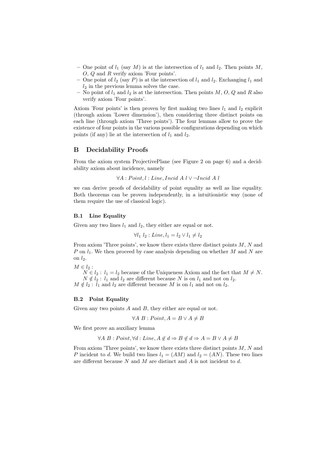- One point of  $l_1$  (say M) is at the intersection of  $l_1$  and  $l_2$ . Then points M, O, Q and R verify axiom 'Four points'.
- One point of  $l_2$  (say P) is at the intersection of  $l_1$  and  $l_2$ . Exchanging  $l_1$  and  $l_2$  in the previous lemma solves the case.
- No point of  $l_1$  and  $l_2$  is at the intersection. Then points  $M$ ,  $O$ ,  $Q$  and  $R$  also verify axiom 'Four points'.

Axiom 'Four points' is then proven by first making two lines  $l_1$  and  $l_2$  explicit (through axiom 'Lower dimension'), then considering three distinct points on each line (through axiom 'Three points'). The four lemmas allow to prove the existence of four points in the various possible configurations depending on which points (if any) lie at the intersection of  $l_1$  and  $l_2$ .

# B Decidability Proofs

From the axiom system ProjectivePlane (see Figure 2 on page 6) and a decidability axiom about incidence, namely

 $\forall A : Point, l : Line, Incid A \cup \neg Incid A$ 

we can derive proofs of decidability of point equality as well as line equality. Both theorems can be proven independently, in a intuitionistic way (none of them require the use of classical logic).

#### B.1 Line Equality

Given any two lines  $l_1$  and  $l_2$ , they either are equal or not.

$$
\forall l_1 \ l_2 : Line, l_1 = l_2 \lor l_1 \neq l_2
$$

From axiom 'Three points', we know there exists three distinct points  $M, N$  and P on  $l_1$ . We then proceed by case analysis depending on whether M and N are on  $l_2$ .

 $M \in l_2$ :

 $N \in l_2 : l_1 = l_2$  because of the Uniqueness Axiom and the fact that  $M \neq N$ .  $N \notin l_2 : l_1$  and  $l_2$  are different because N is on  $l_1$  and not on  $l_2$ .  $M \notin l_2 : l_1$  and  $l_2$  are different because M is on  $l_1$  and not on  $l_2$ .

#### B.2 Point Equality

Given any two points  $A$  and  $B$ , they either are equal or not.

$$
\forall A \ B : Point, A = B \lor A \neq B
$$

We first prove an auxiliary lemma

$$
\forall A \ B : Point, \forall d : Line, A \not\in d \Rightarrow B \not\in d \Rightarrow A = B \lor A \neq B
$$

From axiom 'Three points', we know there exists three distinct points M, N and P incident to d. We build two lines  $l_1 = (AM)$  and  $l_2 = (AN)$ . These two lines are different because  $N$  and  $M$  are distinct and  $A$  is not incident to  $d$ .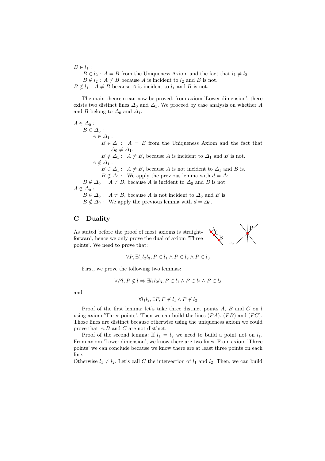$B\in l_1$ :

 $B \in l_2$ :  $A = B$  from the Uniqueness Axiom and the fact that  $l_1 \neq l_2$ .  $B \notin l_2 : A \neq B$  because A is incident to  $l_2$  and B is not.  $B \notin l_1 : A \neq B$  because A is incident to  $l_1$  and B is not.

The main theorem can now be proved: from axiom 'Lower dimension', there exists two distinct lines  $\Delta_0$  and  $\Delta_1$ . We proceed by case analysis on whether A and B belong to  $\Delta_0$  and  $\Delta_1$ .

 $A \in \Delta_0$ :

 $B \in \Delta_0$ :

 $A \in \Delta_1$ :

 $B \in \Delta_1: A = B$  from the Uniqueness Axiom and the fact that  $\Delta_0 \neq \Delta_1$ .

 $B \notin \Delta_1$ :  $A \neq B$ , because A is incident to  $\Delta_1$  and B is not.  $A \notin \Delta_1$ :

 $B \in \Delta_1$ :  $A \neq B$ , because A is not incident to  $\Delta_1$  and B is.

 $B \notin \Delta_1$ : We apply the previous lemma with  $d = \Delta_1$ .  $B \notin \Delta_0$ :  $A \neq B$ , because A is incident to  $\Delta_0$  and B is not.

 $A \notin \Delta_0$ :

 $B \in \Delta_0: A \neq B$ , because A is not incident to  $\Delta_0$  and B is.

 $B \notin \Delta_0$ : We apply the previous lemma with  $d = \Delta_0$ .

# C Duality

As stated before the proof of most axioms is straightforward, hence we only prove the dual of axiom 'Three points'. We need to prove that:



$$
\forall P, \exists l_1 l_2 l_3, P \in l_1 \land P \in l_2 \land P \in l_3
$$

First, we prove the following two lemmas:

$$
\forall Pl, P \notin l \Rightarrow \exists l_1 l_2 l_3, P \in l_1 \land P \in l_2 \land P \in l_3
$$

and

$$
\forall l_1 l_2, \exists P, P \notin l_1 \land P \notin l_2
$$

Proof of the first lemma: let's take three distinct points A, B and C on l using axiom 'Three points'. Then we can build the lines  $(PA)$ ,  $(PB)$  and  $(PC)$ . Those lines are distinct because otherwise using the uniqueness axiom we could prove that A,B and C are not distinct.

Proof of the second lemma: If  $l_1 = l_2$  we need to build a point not on  $l_1$ . From axiom 'Lower dimension', we know there are two lines. From axiom 'Three points' we can conclude because we know there are at least three points on each line.

Otherwise  $l_1 \neq l_2$ . Let's call C the intersection of  $l_1$  and  $l_2$ . Then, we can build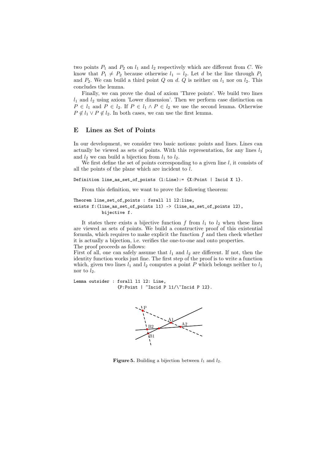two points  $P_1$  and  $P_2$  on  $l_1$  and  $l_2$  respectively which are different from C. We know that  $P_1 \neq P_2$  because otherwise  $l_1 = l_2$ . Let d be the line through  $P_1$ and  $P_2$ . We can build a third point Q on d. Q is neither on  $l_1$  nor on  $l_2$ . This concludes the lemma.

Finally, we can prove the dual of axiom 'Three points'. We build two lines  $l_1$  and  $l_2$  using axiom 'Lower dimension'. Then we perform case distinction on  $P \in l_1$  and  $P \in l_2$ . If  $P \in l_1 \wedge P \in l_2$  we use the second lemma. Otherwise  $P \notin l_1 \vee P \notin l_2$ . In both cases, we can use the first lemma.

#### E Lines as Set of Points

In our development, we consider two basic notions: points and lines. Lines can actually be viewed as sets of points. With this representation, for any lines  $l_1$ and  $l_2$  we can build a bijection from  $l_1$  to  $l_2$ .

We first define the set of points corresponding to a given line  $l$ , it consists of all the points of the plane which are incident to l.

```
Definition line_as_set_of_points (l:Line):= {X:Point | Incid X l}.
```
From this definition, we want to prove the following theorem:

```
Theorem line_set_of_points : forall l1 l2:line,
exists f:(line_as_set_of_points l1) -> (line_as_set_of_points l2),
           bijective f.
```
It states there exists a bijective function f from  $l_1$  to  $l_2$  when these lines are viewed as sets of points. We build a constructive proof of this existential formula, which requires to make explicit the function  $f$  and then check whether it is actually a bijection, i.e. verifies the one-to-one and onto properties. The proof proceeds as follows:

First of all, one can safely assume that  $l_1$  and  $l_2$  are different. If not, then the identity function works just fine. The first step of the proof is to write a function which, given two lines  $l_1$  and  $l_2$  computes a point P which belongs neither to  $l_1$ nor to  $l_2$ .

```
Lemma outsider : forall l1 l2: Line,
                  {P:Point | "Incid P 11/\lceil' Incid P 12}.
```


**Figure 5.** Building a bijection between  $l_1$  and  $l_2$ .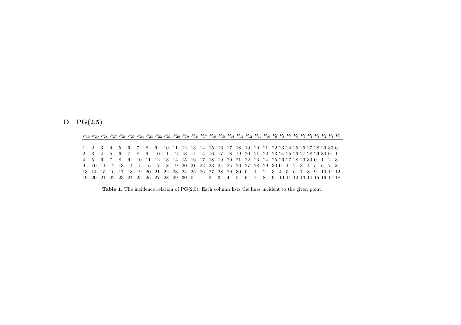# $D$   $PG(2,5)$

|  |  |  | $P_{30}$ $P_{29}$ $P_{28}$ $P_{27}$ $P_{26}$ $P_{25}$ $P_{24}$ $P_{23}$ $P_{22}$ $P_{21}$ $P_{20}$ $P_{18}$ $P_{15}$ $P_{16}$ $P_{15}$ $P_{14}$ $P_{13}$ $P_{12}$ $P_{11}$ $P_{10}$ $P_{9}$ $P_{8}$ $P_{7}$ $P_{6}$ $P_{5}$ $P_{4}$ $P_{3}$ $P_{2}$ $P_{1}$ |  |  |  |  |  |  |  |  |  |  |  |  |
|--|--|--|-------------------------------------------------------------------------------------------------------------------------------------------------------------------------------------------------------------------------------------------------------------|--|--|--|--|--|--|--|--|--|--|--|--|
|  |  |  |                                                                                                                                                                                                                                                             |  |  |  |  |  |  |  |  |  |  |  |  |
|  |  |  | 1 2 3 4 5 6 7 8 9 10 11 12 13 14 15 16 17 18 19 20 21 22 23 24 25 26 27 28 29 30 0                                                                                                                                                                          |  |  |  |  |  |  |  |  |  |  |  |  |
|  |  |  | 2 3 4 5 6 7 8 9 10 11 12 13 14 15 16 17 18 19 20 21 22 23 24 25 26 27 28 29 30 0 1                                                                                                                                                                          |  |  |  |  |  |  |  |  |  |  |  |  |
|  |  |  | 4 5 6 7 8 9 10 11 12 13 14 15 16 17 18 19 20 21 22 23 24 25 26 27 28 29 30 0 1 2 3                                                                                                                                                                          |  |  |  |  |  |  |  |  |  |  |  |  |
|  |  |  | 9 10 11 12 13 14 15 16 17 18 19 20 21 22 23 24 25 26 27 28 29 30 0 1 2 3 4 5 6 7 8                                                                                                                                                                          |  |  |  |  |  |  |  |  |  |  |  |  |
|  |  |  | 13 14 15 16 17 18 19 20 21 22 23 24 25 26 27 28 29 30 0 1 2 3 4 5 6 7 8 9 10 11 12                                                                                                                                                                          |  |  |  |  |  |  |  |  |  |  |  |  |
|  |  |  | 19 20 21 22 23 24 25 26 27 28 29 30 0 1 2 3 4 5 6 7 8 9 10 11 12 13 14 15 16 17 18                                                                                                                                                                          |  |  |  |  |  |  |  |  |  |  |  |  |

Table 1. The incidence relation of PG(2,5). Each column lists the lines incident to the given point.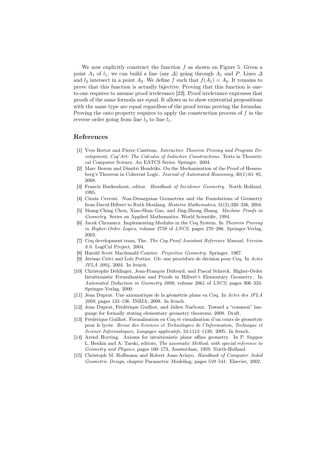We now explicitly construct the function  $f$  as shown on Figure 5. Given a point  $A_1$  of  $l_1$ , we can build a line (say  $\Delta$ ) going through  $A_1$  and P. Lines  $\Delta$ and  $l_2$  intersect in a point  $A_2$ . We define f such that  $f(A_1) = A_2$ . It remains to prove that this function is actually bijective. Proving that this function is oneto-one requires to assume proof irrelevance [22]. Proof irrelevance expresses that proofs of the same formula are equal. It allows us to show existential propositions with the same type are equal regardless of the proof terms proving the formulas. Proving the onto property requires to apply the construction process of f in the reverse order going from line  $l_2$  to line  $l_1$ .

# References

- [1] Yves Bertot and Pierre Castéran. *Interactive Theorem Proving and Program Development, Coq'Art: The Calculus of Inductive Constructions*. Texts in Theoretical Computer Science. An EATCS Series. Springer, 2004.
- [2] Marc Bezem and Dimitri Hendriks. On the Mechanization of the Proof of Hessenberg's Theorem in Coherent Logic. *Journal of Automated Reasoning*, 40(1):61–85, 2008.
- [3] Francis Buekenhout, editor. *Handbook of Incidence Geometry*. North Holland, 1995.
- [4] Cinzia Cerroni. Non-Desarguian Geometries and the Foundations of Geometry from David Hilbert to Ruth Moufang. *Historia Mathematica*, 31(3):320–336, 2004.
- [5] Shang-Ching Chou, Xiao-Shan Gao, and Jing-Zhong Zhang. *Machine Proofs in Geometry*. Series on Applied Mathematics. World Scientific, 1994.
- [6] Jacek Chrzaszcz. Implementing Modules in the Coq System. In *Theorem Proving in Higher-Order Logics*, volume 2758 of *LNCS*, pages 270–286. Springer-Verlag, 2003.
- [7] Coq development team, The. *The Coq Proof Assistant Reference Manual, Version 8.0*. LogiCal Project, 2004.
- [8] Harold Scott Macdonald Coxeter. *Projective Geometry*. Springer, 1987.
- [9] Jérôme Créci and Loïc Pottier. Gb: une procédure de décision pour Coq. In *Actes JFLA 2004*, 2004. In french.
- [10] Christophe Dehlinger, Jean-François Dufourd, and Pascal Schreck. Higher-Order Intuitionistic Formalization and Proofs in Hilbert's Elementary Geometry. In *Automated Deduction in Geometry 2000*, volume 2061 of *LNCS*, pages 306–324. Springer-Verlag, 2000.
- [11] Jean Duprat. Une axiomatique de la géométrie plane en Coq. In *Actes des JFLA 2008*, pages 123–136. INRIA, 2008. In french.
- [12] Jean Duprat, Frédérique Guilhot, and Julien Narboux. Toward a "common" language for formally stating elementary geometry theorems, 2008. Draft.
- [13] Frédérique Guilhot. Formalisation en Coq et visualisation d'un cours de géométrie pour le lycée. *Revue des Sciences et Technologies de l'Information, Technique et Science Informatiques, Langages applicatifs*, 24:1113–1138, 2005. In french.
- [14] Arend Heyting. Axioms for intuitionistic plane affine geometry. In P. Suppes L. Henkin and A. Tarski, editors, *The axiomatic Method, with special reference to Geometry and Physics*, pages 160–173, Amsterdam, 1959. North-Holland.
- [15] Christoph M. Hoffmann and Robert Joan-Arinyo. *Handbook of Computer Aided Geometric Design*, chapter Parametric Modeling, pages 519–541. Elsevier, 2002.